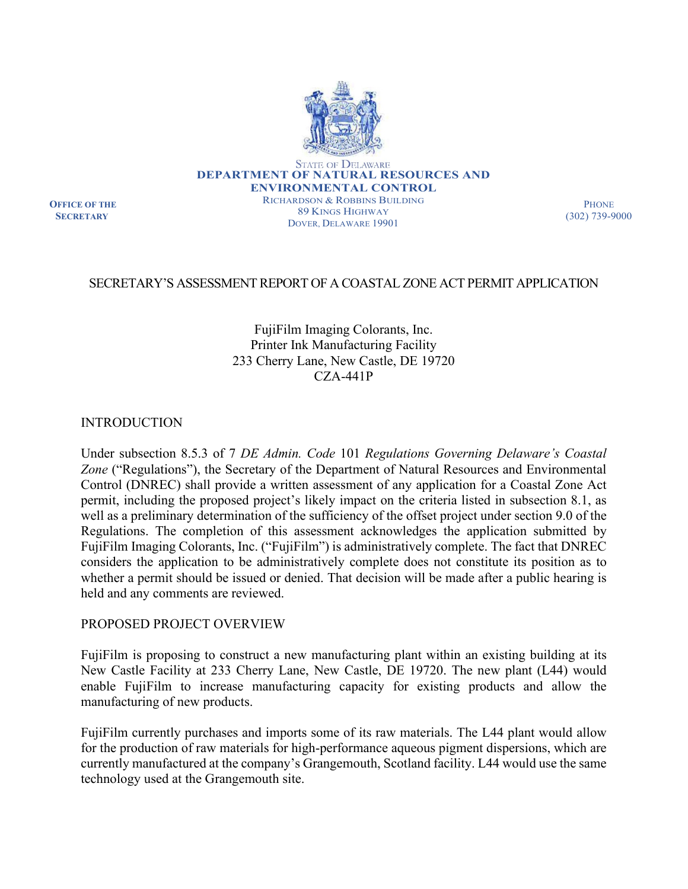

**OFFICE OF THE SECRETARY**

RICHARDSON & ROBBINS BUILDING 89 KINGS HIGHWAY DOVER, DELAWARE 19901

**PHONE** (302) 739-9000

# SECRETARY'S ASSESSMENT REPORT OF A COASTAL ZONE ACT PERMIT APPLICATION

# FujiFilm Imaging Colorants, Inc. Printer Ink Manufacturing Facility 233 Cherry Lane, New Castle, DE 19720 CZA-441P

INTRODUCTION

Under subsection 8.5.3 of 7 *DE Admin. Code* 101 *Regulations Governing Delaware's Coastal Zone* ("Regulations"), the Secretary of the Department of Natural Resources and Environmental Control (DNREC) shall provide a written assessment of any application for a Coastal Zone Act permit, including the proposed project's likely impact on the criteria listed in subsection 8.1, as well as a preliminary determination of the sufficiency of the offset project under section 9.0 of the Regulations. The completion of this assessment acknowledges the application submitted by FujiFilm Imaging Colorants, Inc. ("FujiFilm") is administratively complete. The fact that DNREC considers the application to be administratively complete does not constitute its position as to whether a permit should be issued or denied. That decision will be made after a public hearing is held and any comments are reviewed.

### PROPOSED PROJECT OVERVIEW

FujiFilm is proposing to construct a new manufacturing plant within an existing building at its New Castle Facility at 233 Cherry Lane, New Castle, DE 19720. The new plant (L44) would enable FujiFilm to increase manufacturing capacity for existing products and allow the manufacturing of new products.

FujiFilm currently purchases and imports some of its raw materials. The L44 plant would allow for the production of raw materials for high-performance aqueous pigment dispersions, which are currently manufactured at the company's Grangemouth, Scotland facility. L44 would use the same technology used at the Grangemouth site.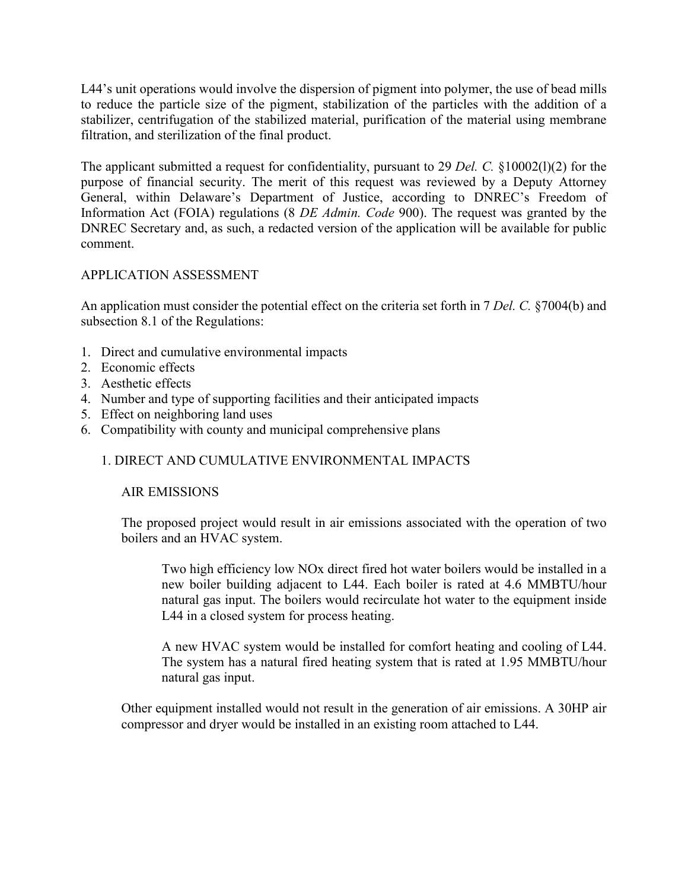L44's unit operations would involve the dispersion of pigment into polymer, the use of bead mills to reduce the particle size of the pigment, stabilization of the particles with the addition of a stabilizer, centrifugation of the stabilized material, purification of the material using membrane filtration, and sterilization of the final product.

The applicant submitted a request for confidentiality, pursuant to 29 *Del. C.* §10002(l)(2) for the purpose of financial security. The merit of this request was reviewed by a Deputy Attorney General, within Delaware's Department of Justice, according to DNREC's Freedom of Information Act (FOIA) regulations (8 *DE Admin. Code* 900). The request was granted by the DNREC Secretary and, as such, a redacted version of the application will be available for public comment.

# APPLICATION ASSESSMENT

An application must consider the potential effect on the criteria set forth in 7 *Del. C.* §7004(b) and subsection 8.1 of the Regulations:

- 1. Direct and cumulative environmental impacts
- 2. Economic effects
- 3. Aesthetic effects
- 4. Number and type of supporting facilities and their anticipated impacts
- 5. Effect on neighboring land uses
- 6. Compatibility with county and municipal comprehensive plans

# 1. DIRECT AND CUMULATIVE ENVIRONMENTAL IMPACTS

### AIR EMISSIONS

The proposed project would result in air emissions associated with the operation of two boilers and an HVAC system.

Two high efficiency low NOx direct fired hot water boilers would be installed in a new boiler building adjacent to L44. Each boiler is rated at 4.6 MMBTU/hour natural gas input. The boilers would recirculate hot water to the equipment inside L44 in a closed system for process heating.

A new HVAC system would be installed for comfort heating and cooling of L44. The system has a natural fired heating system that is rated at 1.95 MMBTU/hour natural gas input.

Other equipment installed would not result in the generation of air emissions. A 30HP air compressor and dryer would be installed in an existing room attached to L44.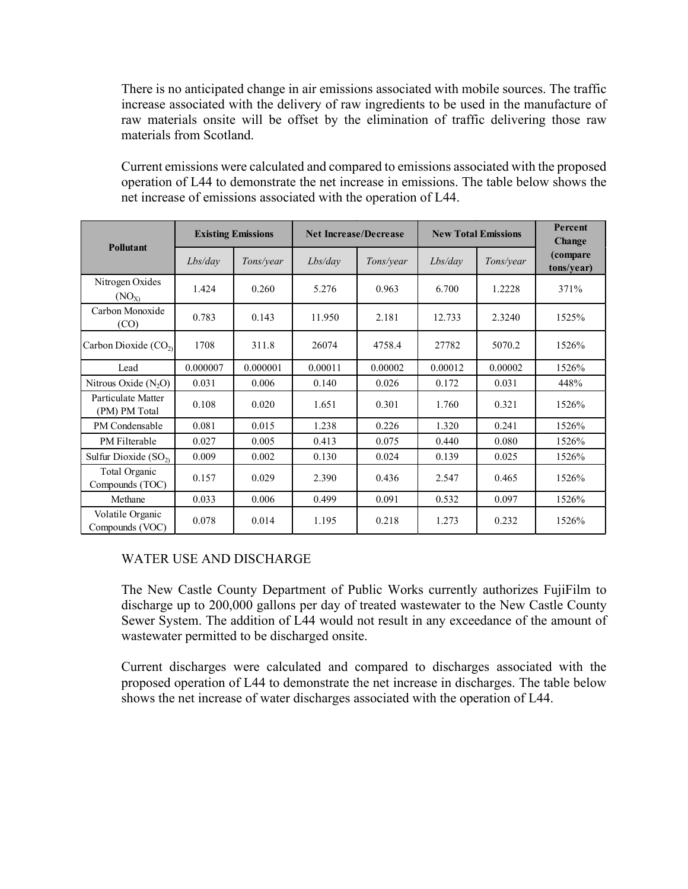There is no anticipated change in air emissions associated with mobile sources. The traffic increase associated with the delivery of raw ingredients to be used in the manufacture of raw materials onsite will be offset by the elimination of traffic delivering those raw materials from Scotland.

Current emissions were calculated and compared to emissions associated with the proposed operation of L44 to demonstrate the net increase in emissions. The table below shows the net increase of emissions associated with the operation of L44.

| Pollutant                           | <b>Existing Emissions</b> |           | <b>Net Increase/Decrease</b> |           | <b>New Total Emissions</b> | Percent<br><b>Change</b> |                        |
|-------------------------------------|---------------------------|-----------|------------------------------|-----------|----------------------------|--------------------------|------------------------|
|                                     | Lbs/day                   | Tons/year | Lbs/day                      | Tons/year | Lbs/day                    | Tons/year                | (compare<br>tons/year) |
| Nitrogen Oxides<br>$(NO_{X})$       | 1.424                     | 0.260     | 5.276                        | 0.963     | 6.700                      | 1.2228                   | 371%                   |
| Carbon Monoxide<br>(CO)             | 0.783                     | 0.143     | 11.950                       | 2.181     | 12.733                     | 2.3240                   | 1525%                  |
| Carbon Dioxide $(CO2)$              | 1708                      | 311.8     | 26074                        | 4758.4    | 27782                      | 5070.2                   | 1526%                  |
| Lead                                | 0.000007                  | 0.000001  | 0.00011                      | 0.00002   | 0.00012                    | 0.00002                  | 1526%                  |
| Nitrous Oxide (N <sub>2</sub> O)    | 0.031                     | 0.006     | 0.140                        | 0.026     | 0.172                      | 0.031                    | 448%                   |
| Particulate Matter<br>(PM) PM Total | 0.108                     | 0.020     | 1.651                        | 0.301     | 1.760                      | 0.321                    | 1526%                  |
| PM Condensable                      | 0.081                     | 0.015     | 1.238                        | 0.226     | 1.320                      | 0.241                    | 1526%                  |
| PM Filterable                       | 0.027                     | 0.005     | 0.413                        | 0.075     | 0.440                      | 0.080                    | 1526%                  |
| Sulfur Dioxide $(SO2)$              | 0.009                     | 0.002     | 0.130                        | 0.024     | 0.139                      | 0.025                    | 1526%                  |
| Total Organic<br>Compounds (TOC)    | 0.157                     | 0.029     | 2.390                        | 0.436     | 2.547                      | 0.465                    | 1526%                  |
| Methane                             | 0.033                     | 0.006     | 0.499                        | 0.091     | 0.532                      | 0.097                    | 1526%                  |
| Volatile Organic<br>Compounds (VOC) | 0.078                     | 0.014     | 1.195                        | 0.218     | 1.273                      | 0.232                    | 1526%                  |

### WATER USE AND DISCHARGE

The New Castle County Department of Public Works currently authorizes FujiFilm to discharge up to 200,000 gallons per day of treated wastewater to the New Castle County Sewer System. The addition of L44 would not result in any exceedance of the amount of wastewater permitted to be discharged onsite.

Current discharges were calculated and compared to discharges associated with the proposed operation of L44 to demonstrate the net increase in discharges. The table below shows the net increase of water discharges associated with the operation of L44.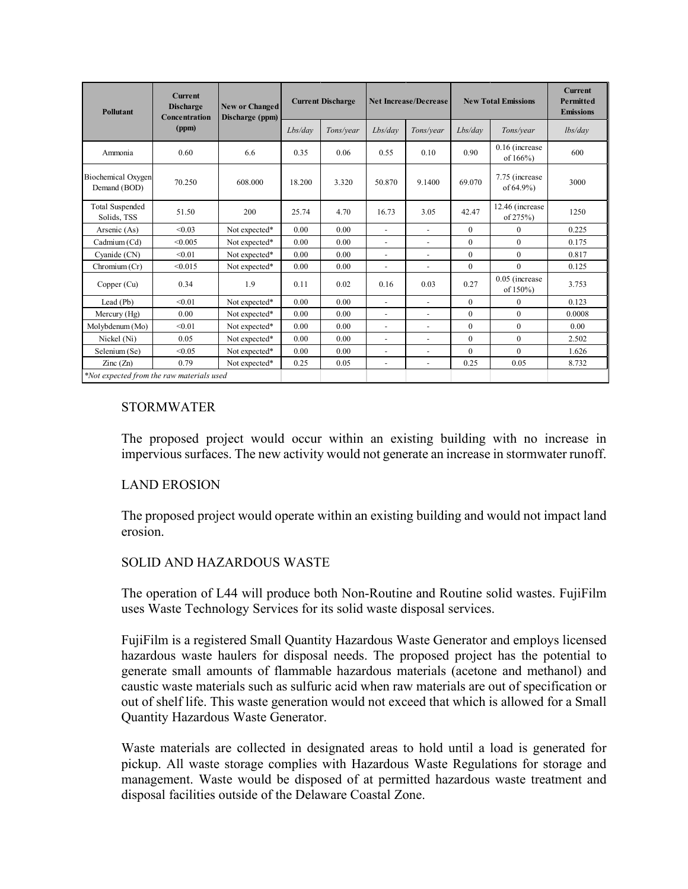| <b>Pollutant</b>                          | <b>Current</b><br><b>Discharge</b><br>Concentration<br>(ppm) | <b>New or Changed</b><br>Discharge (ppm) | <b>Current Discharge</b> |           | <b>Net Increase/Decrease</b> |                          | <b>New Total Emissions</b> |                                  | <b>Current</b><br>Permitted<br><b>Emissions</b> |
|-------------------------------------------|--------------------------------------------------------------|------------------------------------------|--------------------------|-----------|------------------------------|--------------------------|----------------------------|----------------------------------|-------------------------------------------------|
|                                           |                                                              |                                          | Lbs/day                  | Tons/year | Lbs/day                      | Tons/year                | Lbs/day                    | Tons/year                        | lbs/dav                                         |
| Ammonia                                   | 0.60                                                         | 6.6                                      | 0.35                     | 0.06      | 0.55                         | 0.10                     | 0.90                       | 0.16 (increase)<br>of 166%)      | 600                                             |
| Biochemical Oxygen<br>Demand (BOD)        | 70.250                                                       | 608.000                                  | 18.200                   | 3.320     | 50.870                       | 9.1400                   | 69.070                     | 7.75 (increase)<br>of $64.9\%$ ) | 3000                                            |
| <b>Total Suspended</b><br>Solids, TSS     | 51.50                                                        | 200                                      | 25.74                    | 4.70      | 16.73                        | 3.05                     | 42.47                      | 12.46 (increase<br>of $275%$ )   | 1250                                            |
| Arsenic (As)                              | < 0.03                                                       | Not expected*                            | 0.00                     | 0.00      | ä,                           | $\sim$                   | $\overline{0}$             | $\Omega$                         | 0.225                                           |
| Cadmium (Cd)                              | < 0.005                                                      | Not expected*                            | 0.00                     | 0.00      | ä,                           | ä,                       | $\overline{0}$             | $\theta$                         | 0.175                                           |
| Cyanide (CN)                              | < 0.01                                                       | Not expected*                            | 0.00                     | 0.00      | L,                           | ÷                        | $\overline{0}$             | $\mathbf{0}$                     | 0.817                                           |
| Chromium (Cr)                             | < 0.015                                                      | Not expected*                            | 0.00                     | 0.00      | ÷,                           | $\overline{\phantom{a}}$ | $\overline{0}$             | $\mathbf{0}$                     | 0.125                                           |
| Copper (Cu)                               | 0.34                                                         | 1.9                                      | 0.11                     | 0.02      | 0.16                         | 0.03                     | 0.27                       | 0.05 (increase<br>of 150%)       | 3.753                                           |
| Lead (Pb)                                 | < 0.01                                                       | Not expected*                            | 0.00                     | 0.00      | ÷.                           | ä,                       | $\theta$                   | $\Omega$                         | 0.123                                           |
| Mercury $(Hg)$                            | 0.00                                                         | Not expected*                            | 0.00                     | 0.00      | L,                           | L,                       | $\overline{0}$             | $\mathbf{0}$                     | 0.0008                                          |
| Molybdenum (Mo)                           | < 0.01                                                       | Not expected*                            | 0.00                     | 0.00      | L,                           | ä,                       | $\theta$                   | $\mathbf{0}$                     | 0.00                                            |
| Nickel (Ni)                               | 0.05                                                         | Not expected*                            | 0.00                     | 0.00      | ä,                           | ä,                       | $\overline{0}$             | $\mathbf{0}$                     | 2.502                                           |
| Selenium (Se)                             | < 0.05                                                       | Not expected*                            | 0.00                     | 0.00      | ä,                           | ÷,                       | $\theta$                   | $\Omega$                         | 1.626                                           |
| $\text{Zinc}(\text{Zn})$                  | 0.79                                                         | Not expected*                            | 0.25                     | 0.05      | $\overline{\phantom{a}}$     | $\blacksquare$           | 0.25                       | 0.05                             | 8.732                                           |
| *Not expected from the raw materials used |                                                              |                                          |                          |           |                              |                          |                            |                                  |                                                 |

# **STORMWATER**

The proposed project would occur within an existing building with no increase in impervious surfaces. The new activity would not generate an increase in stormwater runoff.

### LAND EROSION

The proposed project would operate within an existing building and would not impact land erosion.

### SOLID AND HAZARDOUS WASTE

The operation of L44 will produce both Non-Routine and Routine solid wastes. FujiFilm uses Waste Technology Services for its solid waste disposal services.

FujiFilm is a registered Small Quantity Hazardous Waste Generator and employs licensed hazardous waste haulers for disposal needs. The proposed project has the potential to generate small amounts of flammable hazardous materials (acetone and methanol) and caustic waste materials such as sulfuric acid when raw materials are out of specification or out of shelf life. This waste generation would not exceed that which is allowed for a Small Quantity Hazardous Waste Generator.

Waste materials are collected in designated areas to hold until a load is generated for pickup. All waste storage complies with Hazardous Waste Regulations for storage and management. Waste would be disposed of at permitted hazardous waste treatment and disposal facilities outside of the Delaware Coastal Zone.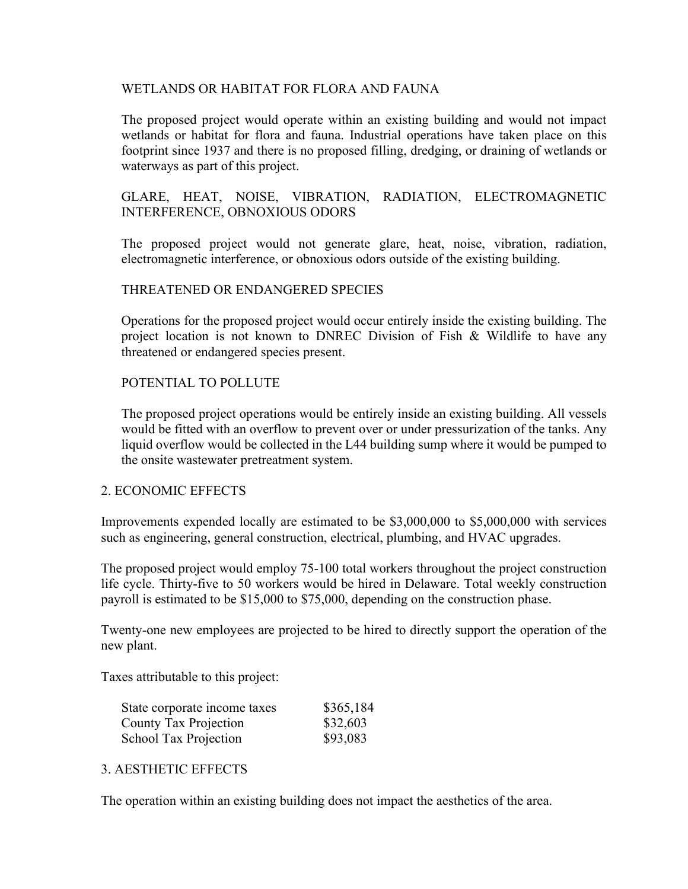### WETLANDS OR HABITAT FOR FLORA AND FAUNA

The proposed project would operate within an existing building and would not impact wetlands or habitat for flora and fauna. Industrial operations have taken place on this footprint since 1937 and there is no proposed filling, dredging, or draining of wetlands or waterways as part of this project.

# GLARE, HEAT, NOISE, VIBRATION, RADIATION, ELECTROMAGNETIC INTERFERENCE, OBNOXIOUS ODORS

The proposed project would not generate glare, heat, noise, vibration, radiation, electromagnetic interference, or obnoxious odors outside of the existing building.

### THREATENED OR ENDANGERED SPECIES

Operations for the proposed project would occur entirely inside the existing building. The project location is not known to DNREC Division of Fish & Wildlife to have any threatened or endangered species present.

# POTENTIAL TO POLLUTE

The proposed project operations would be entirely inside an existing building. All vessels would be fitted with an overflow to prevent over or under pressurization of the tanks. Any liquid overflow would be collected in the L44 building sump where it would be pumped to the onsite wastewater pretreatment system.

### 2. ECONOMIC EFFECTS

Improvements expended locally are estimated to be \$3,000,000 to \$5,000,000 with services such as engineering, general construction, electrical, plumbing, and HVAC upgrades.

The proposed project would employ 75-100 total workers throughout the project construction life cycle. Thirty-five to 50 workers would be hired in Delaware. Total weekly construction payroll is estimated to be \$15,000 to \$75,000, depending on the construction phase.

Twenty-one new employees are projected to be hired to directly support the operation of the new plant.

Taxes attributable to this project:

| State corporate income taxes | \$365,184 |
|------------------------------|-----------|
| County Tax Projection        | \$32,603  |
| <b>School Tax Projection</b> | \$93,083  |

### 3. AESTHETIC EFFECTS

The operation within an existing building does not impact the aesthetics of the area.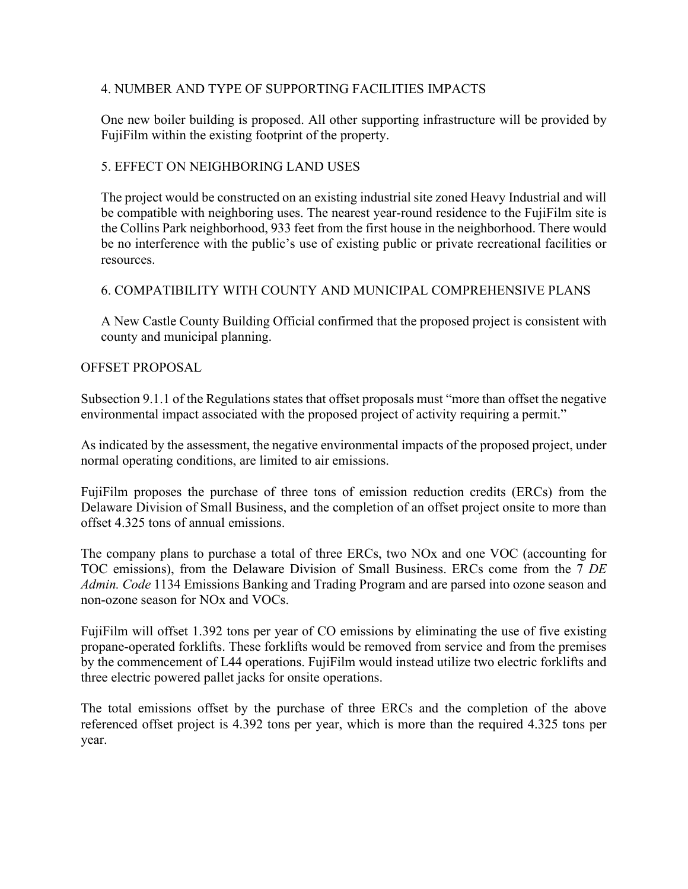# 4. NUMBER AND TYPE OF SUPPORTING FACILITIES IMPACTS

One new boiler building is proposed. All other supporting infrastructure will be provided by FujiFilm within the existing footprint of the property.

# 5. EFFECT ON NEIGHBORING LAND USES

The project would be constructed on an existing industrial site zoned Heavy Industrial and will be compatible with neighboring uses. The nearest year-round residence to the FujiFilm site is the Collins Park neighborhood, 933 feet from the first house in the neighborhood. There would be no interference with the public's use of existing public or private recreational facilities or resources.

# 6. COMPATIBILITY WITH COUNTY AND MUNICIPAL COMPREHENSIVE PLANS

A New Castle County Building Official confirmed that the proposed project is consistent with county and municipal planning.

### OFFSET PROPOSAL

Subsection 9.1.1 of the Regulations states that offset proposals must "more than offset the negative environmental impact associated with the proposed project of activity requiring a permit."

As indicated by the assessment, the negative environmental impacts of the proposed project, under normal operating conditions, are limited to air emissions.

FujiFilm proposes the purchase of three tons of emission reduction credits (ERCs) from the Delaware Division of Small Business, and the completion of an offset project onsite to more than offset 4.325 tons of annual emissions.

The company plans to purchase a total of three ERCs, two NOx and one VOC (accounting for TOC emissions), from the Delaware Division of Small Business. ERCs come from the 7 *DE Admin. Code* 1134 Emissions Banking and Trading Program and are parsed into ozone season and non-ozone season for NOx and VOCs.

FujiFilm will offset 1.392 tons per year of CO emissions by eliminating the use of five existing propane-operated forklifts. These forklifts would be removed from service and from the premises by the commencement of L44 operations. FujiFilm would instead utilize two electric forklifts and three electric powered pallet jacks for onsite operations.

The total emissions offset by the purchase of three ERCs and the completion of the above referenced offset project is 4.392 tons per year, which is more than the required 4.325 tons per year.